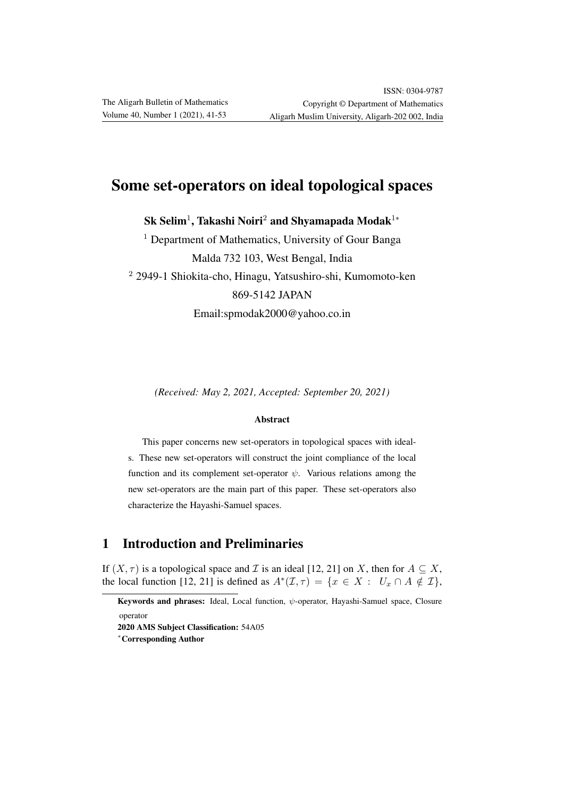# Some set-operators on ideal topological spaces

 ${\rm Sk\;Selim^1, Takashi\; Noiri^2}$  and  $\rm Shyamapada\; Modak^{1*}$ 

 $<sup>1</sup>$  Department of Mathematics, University of Gour Banga</sup> Malda 732 103, West Bengal, India <sup>2</sup> 2949-1 Shiokita-cho, Hinagu, Yatsushiro-shi, Kumomoto-ken 869-5142 JAPAN Email:spmodak2000@yahoo.co.in

*(Received: May 2, 2021, Accepted: September 20, 2021)*

#### Abstract

This paper concerns new set-operators in topological spaces with ideals. These new set-operators will construct the joint compliance of the local function and its complement set-operator  $\psi$ . Various relations among the new set-operators are the main part of this paper. These set-operators also characterize the Hayashi-Samuel spaces.

### 1 Introduction and Preliminaries

If  $(X, \tau)$  is a topological space and  $\mathcal I$  is an ideal [12, 21] on X, then for  $A \subseteq X$ , the local function [12, 21] is defined as  $A^*(\mathcal{I}, \tau) = \{x \in X : U_x \cap A \notin \mathcal{I}\},\$ 

Keywords and phrases: Ideal, Local function, ψ-operator, Hayashi-Samuel space, Closure operator

<sup>2020</sup> AMS Subject Classification: 54A05

<sup>∗</sup>Corresponding Author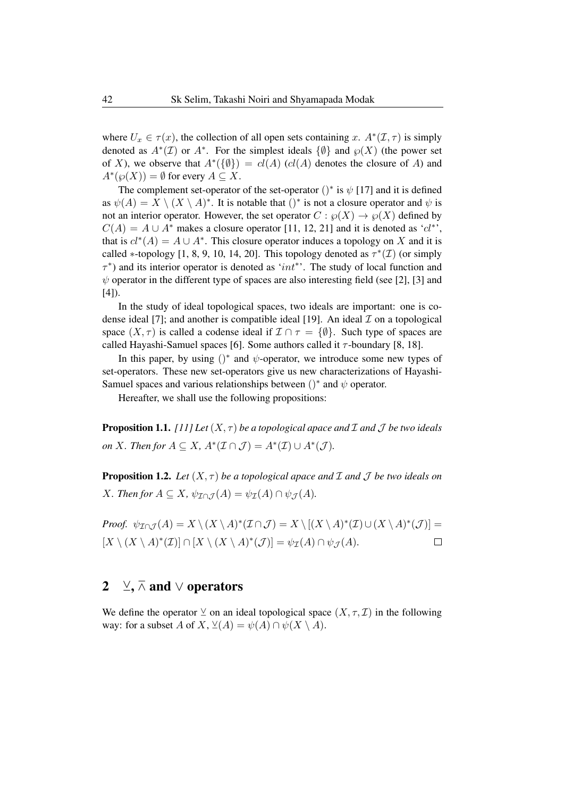where  $U_x \in \tau(x)$ , the collection of all open sets containing x.  $A^*(\mathcal{I}, \tau)$  is simply denoted as  $A^*(\mathcal{I})$  or  $A^*$ . For the simplest ideals  $\{\emptyset\}$  and  $\wp(X)$  (the power set of X), we observe that  $A^*(\{\emptyset\}) = cl(A)$  (cl(A) denotes the closure of A) and  $A^*(\wp(X)) = \emptyset$  for every  $A \subseteq X$ .

The complement set-operator of the set-operator  $()^*$  is  $\psi$  [17] and it is defined as  $\psi(A) = X \setminus (X \setminus A)^*$ . It is notable that  $()^*$  is not a closure operator and  $\psi$  is not an interior operator. However, the set operator  $C : \mathcal{O}(X) \to \mathcal{O}(X)$  defined by  $C(A) = A \cup A^*$  makes a closure operator [11, 12, 21] and it is denoted as 'cl<sup>\*'</sup>, that is  $cl^*(A) = A \cup A^*$ . This closure operator induces a topology on X and it is called \*-topology [1, 8, 9, 10, 14, 20]. This topology denoted as  $\tau^*(\mathcal{I})$  (or simply  $\tau^*$ ) and its interior operator is denoted as 'int<sup>\*</sup>'. The study of local function and  $\psi$  operator in the different type of spaces are also interesting field (see [2], [3] and  $[4]$ ).

In the study of ideal topological spaces, two ideals are important: one is codense ideal [7]; and another is compatible ideal [19]. An ideal  $\mathcal I$  on a topological space  $(X, \tau)$  is called a codense ideal if  $\mathcal{I} \cap \tau = \{ \emptyset \}$ . Such type of spaces are called Hayashi-Samuel spaces [6]. Some authors called it  $\tau$ -boundary [8, 18].

In this paper, by using  $()^*$  and  $\psi$ -operator, we introduce some new types of set-operators. These new set-operators give us new characterizations of Hayashi-Samuel spaces and various relationships between  $()^*$  and  $\psi$  operator.

Hereafter, we shall use the following propositions:

**Proposition 1.1.** *[11] Let*  $(X, \tau)$  *be a topological apace and*  $\mathcal I$  *and*  $\mathcal J$  *be two ideals on X. Then for*  $A \subseteq X$ *,*  $A^*(\mathcal{I} \cap \mathcal{J}) = A^*(\mathcal{I}) \cup A^*(\mathcal{J})$ *.* 

**Proposition 1.2.** *Let*  $(X, \tau)$  *be a topological apace and*  $\mathcal I$  *and*  $\mathcal J$  *be two ideals on X. Then for*  $A \subseteq X$ *,*  $\psi_{\mathcal{I} \cap \mathcal{I}}(A) = \psi_{\mathcal{I}}(A) \cap \psi_{\mathcal{I}}(A)$ *.* 

*Proof.*  $\psi_{\mathcal{I}\cap\mathcal{J}}(A) = X \setminus (X \setminus A)^*(\mathcal{I}\cap\mathcal{J}) = X \setminus [(X \setminus A)^*(\mathcal{I}) \cup (X \setminus A)^*(\mathcal{J})] =$  $[X \setminus (X \setminus A)^*(\mathcal{I})] \cap [X \setminus (X \setminus A)^*(\mathcal{J})] = \psi_{\mathcal{I}}(A) \cap \psi_{\mathcal{J}}(A).$  $\Box$ 

## 2 ∑,  $\overline{\wedge}$  and  $\vee$  operators

We define the operator  $\vee$  on an ideal topological space  $(X, \tau, \mathcal{I})$  in the following way: for a subset A of X,  $\vee (A) = \psi(A) \cap \psi(X \setminus A)$ .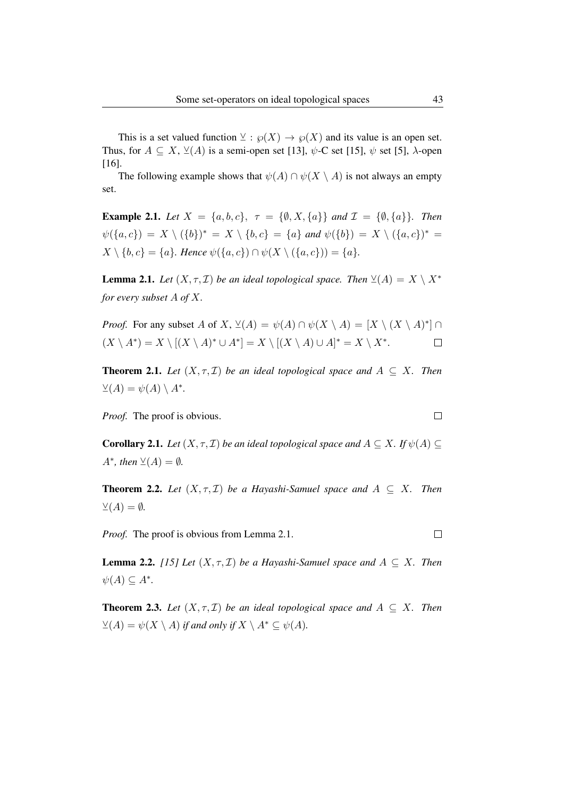This is a set valued function  $\vee$ :  $\wp(X) \to \wp(X)$  and its value is an open set. Thus, for  $A \subseteq X$ ,  $\vee (A)$  is a semi-open set [13],  $\psi$ -C set [15],  $\psi$  set [5],  $\lambda$ -open [16].

The following example shows that  $\psi(A) \cap \psi(X \setminus A)$  is not always an empty set.

**Example 2.1.** *Let*  $X = \{a, b, c\}$ ,  $\tau = \{\emptyset, X, \{a\}\}$  *and*  $\mathcal{I} = \{\emptyset, \{a\}\}$ *. Then*  $\psi({a, c}) = X \setminus ({b})^* = X \setminus {b, c} = {a}$  *and*  $\psi({b}) = X \setminus ({a, c})^* = {b}$  $X \setminus \{b, c\} = \{a\}$ . Hence  $\psi(\{a, c\}) \cap \psi(X \setminus (\{a, c\})) = \{a\}.$ 

**Lemma 2.1.** *Let*  $(X, \tau, \mathcal{I})$  *be an ideal topological space. Then*  $\vee (A) = X \setminus X^*$ *for every subset* A *of* X*.*

*Proof.* For any subset A of X,  $\vee (A) = \psi(A) \cap \psi(X \setminus A) = [X \setminus (X \setminus A)^*] \cap$  $(X \setminus A^*) = X \setminus [(X \setminus A)^* \cup A^*] = X \setminus [(X \setminus A) \cup A]^* = X \setminus X^*.$  $\Box$ 

**Theorem 2.1.** *Let*  $(X, \tau, \mathcal{I})$  *be an ideal topological space and*  $A \subseteq X$ *. Then*  $\vee (A) = \psi(A) \setminus A^*$ .

*Proof.* The proof is obvious.

**Corollary 2.1.** *Let*  $(X, \tau, \mathcal{I})$  *be an ideal topological space and*  $A \subseteq X$ *. If*  $\psi(A) \subseteq$  $A^*$ *, then*  $\vee (A) = \emptyset$ *.* 

**Theorem 2.2.** *Let*  $(X, \tau, \mathcal{I})$  *be a Hayashi-Samuel space and*  $A \subseteq X$ *. Then*  $\vee (A) = \emptyset$ .

*Proof.* The proof is obvious from Lemma 2.1.

**Lemma 2.2.** *[15] Let*  $(X, \tau, \mathcal{I})$  *be a Hayashi-Samuel space and*  $A \subseteq X$ *. Then*  $\psi(A) \subseteq A^*$ .

**Theorem 2.3.** *Let*  $(X, \tau, \mathcal{I})$  *be an ideal topological space and*  $A \subseteq X$ *. Then*  $\mathcal{L}(A) = \psi(X \setminus A)$  *if and only if*  $X \setminus A^* \subseteq \psi(A)$ *.* 

 $\Box$ 

 $\Box$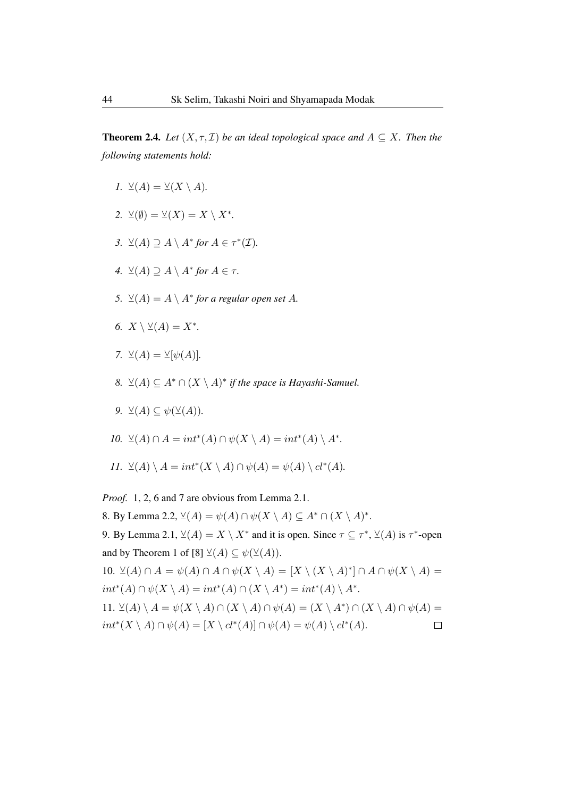**Theorem 2.4.** *Let*  $(X, \tau, \mathcal{I})$  *be an ideal topological space and*  $A \subseteq X$ *. Then the following statements hold:*

- *1.*  $\vee (A) = \vee (X \setminus A)$ .
- 2.  $\vee(\emptyset) = \vee(X) = X \setminus X^*$ .
- *3.*  $\vee (A) \supseteq A \setminus A^*$  for  $A \in \tau^*(\mathcal{I})$ *.*
- *4.*  $\vee (A) \supseteq A \setminus A^*$  *for*  $A \in \tau$ *.*
- 5.  $\mathcal{L}(A) = A \setminus A^*$  *for a regular open set* A.
- *6.*  $X \setminus \vee (A) = X^*$ .
- *7.*  $\vee (A) = \vee [\psi(A)].$
- *8.*  $\vee (A) \subseteq A^* \cap (X \setminus A)^*$  *if the space is Hayashi-Samuel.*
- *9.*  $\vee (A) \subseteq \psi(\vee (A)).$
- *10.*  $\vee (A) \cap A = int^*(A) \cap \psi(X \setminus A) = int^*(A) \setminus A^*$ .
- *11.*  $\vee (A) \setminus A = int^*(X \setminus A) \cap \psi(A) = \psi(A) \setminus cl^*(A)$ .

*Proof.* 1, 2, 6 and 7 are obvious from Lemma 2.1.

8. By Lemma 2.2,  $\vee (A) = \psi(A) \cap \psi(X \setminus A) \subseteq A^* \cap (X \setminus A)^*$ .

9. By Lemma 2.1,  $\vee (A) = X \setminus X^*$  and it is open. Since  $\tau \subseteq \tau^*$ ,  $\vee (A)$  is  $\tau^*$ -open and by Theorem 1 of [8]  $\vee (A) \subseteq \psi(\vee (A)).$ 

10.  $\vee (A) \cap A = \psi(A) \cap A \cap \psi(X \setminus A) = [X \setminus (X \setminus A)^*] \cap A \cap \psi(X \setminus A) =$  $int^*(A) \cap \psi(X \setminus A) = int^*(A) \cap (X \setminus A^*) = int^*(A) \setminus A^*$ . 11.  $\vee (A) \setminus A = \psi(X \setminus A) \cap (X \setminus A) \cap \psi(A) = (X \setminus A^*) \cap (X \setminus A) \cap \psi(A) =$  $int^*(X \setminus A) \cap \psi(A) = [X \setminus cl^*(A)] \cap \psi(A) = \psi(A) \setminus cl^*(A).$  $\Box$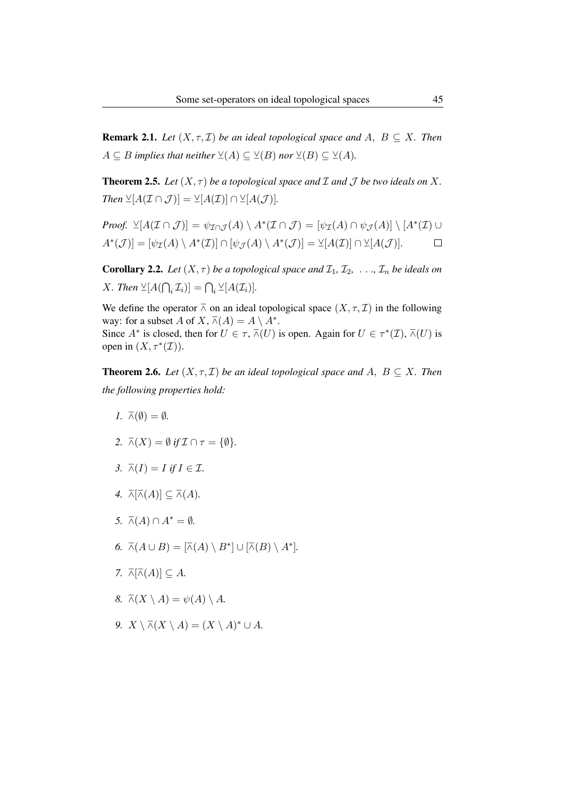**Remark 2.1.** *Let*  $(X, \tau, \mathcal{I})$  *be an ideal topological space and*  $A, B \subset X$ *. Then*  $A \subseteq B$  *implies that neither*  $\vee (A) \subseteq \vee (B)$  *nor*  $\vee (B) \subseteq \vee (A)$ *.* 

**Theorem 2.5.** Let  $(X, \tau)$  be a topological space and  $\mathcal I$  and  $\mathcal J$  be two ideals on  $X$ . *Then*  $\veeeq[A(\mathcal{I} \cap \mathcal{J})] = \veeeq[A(\mathcal{I})] \cap \veeeq[A(\mathcal{J})]$ *.* 

*Proof.* 
$$
\mathcal{L}[A(\mathcal{I} \cap \mathcal{J})] = \psi_{\mathcal{I} \cap \mathcal{J}}(A) \setminus A^*(\mathcal{I} \cap \mathcal{J}) = [\psi_{\mathcal{I}}(A) \cap \psi_{\mathcal{J}}(A)] \setminus [A^*(\mathcal{I}) \cup A^*(\mathcal{J})] = [\psi_{\mathcal{I}}(A) \setminus A^*(\mathcal{I})] \cap [\psi_{\mathcal{J}}(A) \setminus A^*(\mathcal{J})] = \mathcal{L}[A(\mathcal{I})] \cap \mathcal{L}[A(\mathcal{J})].
$$

**Corollary 2.2.** Let  $(X, \tau)$  be a topological space and  $\mathcal{I}_1, \mathcal{I}_2, \ldots, \mathcal{I}_n$  be ideals on *X*. Then  $\veeeq[A(\bigcap_i \mathcal{I}_i)] = \bigcap_i \veeeq[A(\mathcal{I}_i)]$ .

We define the operator  $\overline{\wedge}$  on an ideal topological space  $(X, \tau, \mathcal{I})$  in the following way: for a subset A of X,  $\overline{\wedge}(A) = A \setminus A^*$ . Since  $A^*$  is closed, then for  $U \in \tau$ ,  $\overline{\wedge}(U)$  is open. Again for  $U \in \tau^*(\mathcal{I})$ ,  $\overline{\wedge}(U)$  is open in  $(X, \tau^*(\mathcal{I})).$ 

**Theorem 2.6.** *Let*  $(X, \tau, \mathcal{I})$  *be an ideal topological space and*  $A, B \subseteq X$ *. Then the following properties hold:*

- *1.*  $\bar{\wedge}(\emptyset) = \emptyset$ *.*
- 2.  $\bar{\wedge}(X) = \emptyset$  *if*  $\mathcal{I} \cap \tau = \{\emptyset\}.$
- *3.*  $\overline{\wedge}(I) = I$  *if*  $I \in \mathcal{I}$ *.*
- 4.  $\overline{\wedge}[\overline{\wedge}(A)] \subseteq \overline{\wedge}(A)$ .
- *5.*  $\bar{\wedge}(A) \cap A^* = ∅$ *.*
- 6.  $\overline{\wedge}(A \cup B) = [\overline{\wedge}(A) \setminus B^*] \cup [\overline{\wedge}(B) \setminus A^*].$
- *7.*  $\overline{\wedge}$ [ $\overline{\wedge}$ (*A*)]  $\subseteq$  *A*.
- *8.*  $\overline{\wedge}(X \setminus A) = \psi(A) \setminus A$ .
- *9.*  $X \setminus \overline{\wedge}(X \setminus A) = (X \setminus A)^* \cup A$ .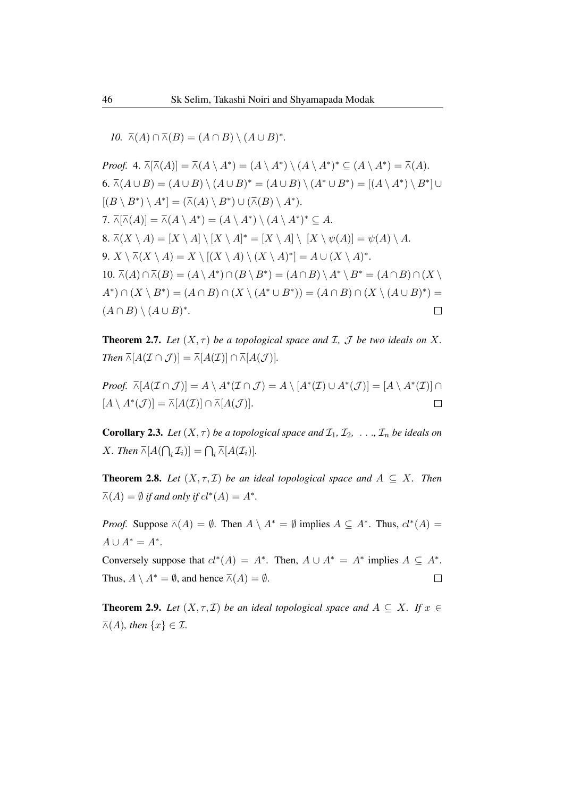*10.*  $\overline{\wedge}(A) \cap \overline{\wedge}(B) = (A \cap B) \setminus (A \cup B)^*$ .

Proof. 4. 
$$
\overline{\wedge}[A]
$$
 =  $\overline{\wedge}(A \setminus A^*) = (A \setminus A^*) \setminus (A \setminus A^*)^* \subseteq (A \setminus A^*) = \overline{\wedge}(A)$ .  
\n6.  $\overline{\wedge}(A \cup B) = (A \cup B) \setminus (A \cup B)^* = (A \cup B) \setminus (A^* \cup B^*) = [(A \setminus A^*) \setminus B^*] \cup [(B \setminus B^*) \setminus A^*] = (\overline{\wedge}(A) \setminus B^*) \cup (\overline{\wedge}(B) \setminus A^*)$ .  
\n7.  $\overline{\wedge}[\overline{\wedge}(A)] = \overline{\wedge}(A \setminus A^*) = (A \setminus A^*) \setminus (A \setminus A^*)^* \subseteq A$ .  
\n8.  $\overline{\wedge}(X \setminus A) = [X \setminus A] \setminus [X \setminus A]^* = [X \setminus A] \setminus [X \setminus \psi(A)] = \psi(A) \setminus A$ .  
\n9.  $X \setminus \overline{\wedge}(X \setminus A) = X \setminus [(X \setminus A) \setminus (X \setminus A)^*] = A \cup (X \setminus A)^*$ .  
\n10.  $\overline{\wedge}(A) \cap \overline{\wedge}(B) = (A \setminus A^*) \cap (B \setminus B^*) = (A \cap B) \setminus A^* \setminus B^* = (A \cap B) \cap (X \setminus A^*) \cap (X \setminus B^*) = (A \cap B) \cap (X \setminus (A^* \cup B^*)) = (A \cap B) \setminus (A \cup B)^*$ .

**Theorem 2.7.** Let  $(X, \tau)$  be a topological space and  $\mathcal{I}$ ,  $\mathcal{J}$  be two ideals on  $X$ . *Then*  $\overline{\wedge}[A(\mathcal{I} \cap \mathcal{J})] = \overline{\wedge}[A(\mathcal{I})] \cap \overline{\wedge}[A(\mathcal{J})]$ *.* 

*Proof.*  $\overline{\wedge}[A(\mathcal{I}\cap\mathcal{J})]=A\setminus A^*(\mathcal{I}\cap\mathcal{J})=A\setminus [A^*(\mathcal{I})\cup A^*(\mathcal{J})]=[A\setminus A^*(\mathcal{I})]\cap$  $[A \setminus A^*(\mathcal{J})] = \overline{\wedge}[A(\mathcal{I})] \cap \overline{\wedge}[A(\mathcal{J})].$  $\Box$ 

**Corollary 2.3.** Let  $(X, \tau)$  be a topological space and  $\mathcal{I}_1, \mathcal{I}_2, \ldots, \mathcal{I}_n$  be ideals on *X*. Then  $\overline{\wedge} [A(\bigcap_i \mathcal{I}_i)] = \bigcap_i \overline{\wedge} [A(\mathcal{I}_i)].$ 

**Theorem 2.8.** *Let*  $(X, \tau, \mathcal{I})$  *be an ideal topological space and*  $A \subseteq X$ *. Then*  $\overline{\wedge}(A) = \emptyset$  *if and only if*  $cl^*(A) = A^*$ .

*Proof.* Suppose  $\overline{\wedge}(A) = \emptyset$ . Then  $A \setminus A^* = \emptyset$  implies  $A \subseteq A^*$ . Thus,  $cl^*(A) =$  $A \cup A^* = A^*$ .

Conversely suppose that  $cl^*(A) = A^*$ . Then,  $A \cup A^* = A^*$  implies  $A \subseteq A^*$ . Thus,  $A \setminus A^* = \emptyset$ , and hence  $\overline{\wedge}(A) = \emptyset$ .  $\Box$ 

**Theorem 2.9.** *Let*  $(X, \tau, \mathcal{I})$  *be an ideal topological space and*  $A \subseteq X$ *. If*  $x \in \mathcal{I}$  $\overline{\wedge}(A)$ *, then*  $\{x\} \in \mathcal{I}$ *.*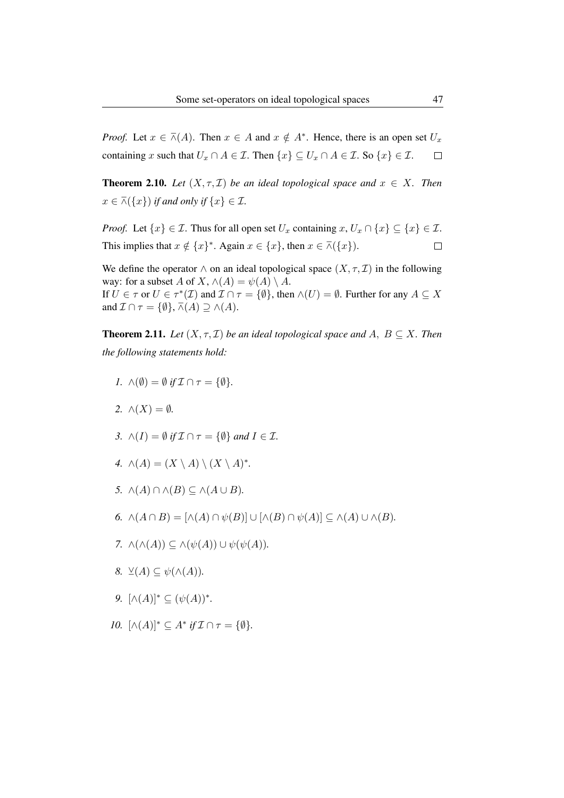*Proof.* Let  $x \in \overline{\wedge}(A)$ . Then  $x \in A$  and  $x \notin A^*$ . Hence, there is an open set  $U_x$ containing x such that  $U_x \cap A \in \mathcal{I}$ . Then  $\{x\} \subseteq U_x \cap A \in \mathcal{I}$ . So  $\{x\} \in \mathcal{I}$ .  $\Box$ 

**Theorem 2.10.** *Let*  $(X, \tau, \mathcal{I})$  *be an ideal topological space and*  $x \in X$ *. Then*  $x \in \overline{\wedge}(\{x\})$  *if and only if*  $\{x\} \in \mathcal{I}$ *.* 

*Proof.* Let  $\{x\} \in \mathcal{I}$ . Thus for all open set  $U_x$  containing  $x, U_x \cap \{x\} \subseteq \{x\} \in \mathcal{I}$ . This implies that  $x \notin \{x\}^*$ . Again  $x \in \{x\}$ , then  $x \in \overline{\wedge}(\{x\})$ .  $\Box$ 

We define the operator  $\wedge$  on an ideal topological space  $(X, \tau, \mathcal{I})$  in the following way: for a subset A of X,  $\wedge(A) = \psi(A) \setminus A$ . If  $U \in \tau$  or  $U \in \tau^*(\mathcal{I})$  and  $\mathcal{I} \cap \tau = \{\emptyset\}$ , then  $\wedge(U) = \emptyset$ . Further for any  $A \subseteq X$ and  $\mathcal{I} \cap \tau = \{ \emptyset \}, \overline{\wedge}(A) \supseteq \wedge(A)$ .

**Theorem 2.11.** *Let*  $(X, \tau, \mathcal{I})$  *be an ideal topological space and*  $A, B \subseteq X$ *. Then the following statements hold:*

- *1.*  $\wedge(\emptyset) = \emptyset$  *if*  $\mathcal{I} \cap \tau = \{\emptyset\}.$
- 2.  $\wedge$  (*X*) =  $\emptyset$ *.*
- *3.*  $\wedge$   $(I) = \emptyset$  *if*  $\mathcal{I} \cap \tau = \{\emptyset\}$  *and*  $I \in \mathcal{I}$ *.*
- *4.*  $\wedge(A) = (X \setminus A) \setminus (X \setminus A)^*$ .
- *5.* ∧(A) ∩ ∧(B) ⊆ ∧(A ∪ B)*.*
- 6.  $\wedge (A \cap B) = [\wedge (A) \cap \psi(B)] \cup [\wedge (B) \cap \psi(A)] \subseteq \wedge (A) \cup \wedge (B)$ .
- *7.*  $\wedge (\wedge(A)) \subseteq \wedge(\psi(A)) \cup \psi(\psi(A)).$
- *8.*  $\vee (A) \subseteq \psi(\wedge(A)).$
- *9.*  $[\wedge(A)]^* \subseteq (\psi(A))^*$ .
- *10.*  $[\wedge(A)]^* \subseteq A^*$  *if*  $\mathcal{I} \cap \tau = {\emptyset}.$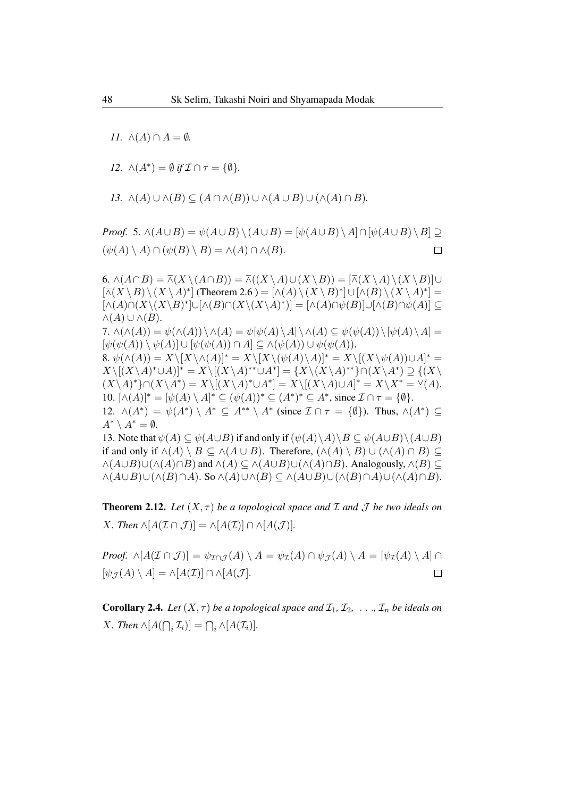*11.*  $\wedge$   $(A) \cap A = \emptyset$ *.* 

*12.*  $\wedge (A^*) = \emptyset$  *if*  $\mathcal{I} \cap \tau = {\emptyset}.$ 

13. 
$$
\wedge(A) \cup \wedge(B) \subseteq (A \cap \wedge(B)) \cup \wedge (A \cup B) \cup (\wedge(A) \cap B).
$$

*Proof.* 5.  $\wedge (A \cup B) = \psi(A \cup B) \setminus (A \cup B) = [\psi(A \cup B) \setminus A] \cap [\psi(A \cup B) \setminus B] \supseteq$  $(\psi(A) \setminus A) \cap (\psi(B) \setminus B) = \wedge (A) \cap \wedge (B).$  $\Box$ 

6.  $\wedge (A \cap B) = \overline{\wedge}(X \setminus (A \cap B)) = \overline{\wedge}((X \setminus A) \cup (X \setminus B)) = [\overline{\wedge}(X \setminus A) \setminus (X \setminus B)] \cup$  $[\overline{\wedge}(X \setminus B) \setminus (X \setminus A)^*]$  (Theorem 2.6 ) =  $[\wedge(A) \setminus (X \setminus B)^*] \cup [\wedge(B) \setminus (X \setminus A)^*]$  =  $\lceil \wedge (A) \cap (X \setminus (X \setminus B)^*] \cup [\wedge (B) \cap (X \setminus (X \setminus A)^*)] = [\wedge (A) \cap \psi(B)] \cup [\wedge (B) \cap \psi(A)] \subseteq$  $\wedge(A) \cup \wedge(B).$ 7.  $\wedge(\wedge(A)) = \psi(\wedge(A)) \setminus \wedge(A) = \psi[\psi(A) \setminus A] \setminus \wedge(A) \subseteq \psi(\psi(A)) \setminus [\psi(A) \setminus A] =$  $[\psi(\psi(A)) \setminus \psi(A)] \cup [\psi(\psi(A)) \cap A] \subseteq \wedge(\psi(A)) \cup \psi(\psi(A)).$ 8.  $\psi(\wedge(A)) = X\backslash [X\backslash \wedge(A)]^* = X\backslash [X\backslash (\psi(A)\backslash A)]^* = X\backslash [(X\backslash \psi(A))\cup A]^* =$  $X \setminus [(X \setminus A)^* \cup A]^* = X \setminus [(X \setminus A)^{**} \cup A^*] = \{X \setminus (X \setminus A)^{**}\} \cap (X \setminus A^*) \supseteq \{(X \setminus A)^{**} \cup A^* \}$  $(X\setminus A)^*\cap (X\setminus A^*)=X\setminus [(X\setminus A)^*\cup A^*]=X\setminus [(X\setminus A)\cup A]^*=X\setminus X^*=\underline{\vee}(A).$ 10.  $[\wedge(A)]^* = [\psi(A) \setminus A]^* \subseteq (\psi(A))^* \subseteq (A^*)^* \subseteq A^*$ , since  $\mathcal{I} \cap \tau = \{\emptyset\}.$ 12.  $\wedge (A^*) = \psi(A^*) \setminus A^* \subseteq A^{**} \setminus A^*$  (since  $\mathcal{I} \cap \tau = \{\emptyset\}$ ). Thus,  $\wedge (A^*) \subseteq$  $A^* \setminus A^* = \emptyset.$ 13. Note that  $\psi(A) \subseteq \psi(A \cup B)$  if and only if  $(\psi(A) \setminus A) \setminus B \subseteq \psi(A \cup B) \setminus (A \cup B)$ if and only if  $\wedge(A) \setminus B \subseteq \wedge(A \cup B)$ . Therefore,  $(\wedge(A) \setminus B) \cup (\wedge(A) \cap B) \subseteq$  $\wedge(A\cup B)\cup(\wedge(A)\cap B)$  and  $\wedge(A)\subseteq\wedge(A\cup B)\cup(\wedge(A)\cap B)$ . Analogously,  $\wedge(B)\subseteq$  $\wedge(A\cup B)\cup(\wedge(B)\cap A)$ . So  $\wedge(A)\cup\wedge(B)\subseteq\wedge(A\cup B)\cup(\wedge(B)\cap A)\cup(\wedge(A)\cap B)$ .

**Theorem 2.12.** *Let*  $(X, \tau)$  *be a topological space and*  $\mathcal I$  *and*  $\mathcal J$  *be two ideals on X. Then*  $\wedge$ [ $A(\mathcal{I} \cap \mathcal{J})$ ] =  $\wedge$ [ $A(\mathcal{I})$ ]  $\cap \wedge$ [ $A(\mathcal{J})$ ]*.* 

*Proof.*  $\wedge [A(\mathcal{I} \cap \mathcal{J})] = \psi_{\mathcal{I} \cap \mathcal{I}}(A) \setminus A = \psi_{\mathcal{I}}(A) \cap \psi_{\mathcal{I}}(A) \setminus A = [\psi_{\mathcal{I}}(A) \setminus A] \cap$  $\Box$  $[\psi_{\mathcal{J}}(A) \setminus A] = \wedge [A(\mathcal{I})] \cap \wedge [A(\mathcal{J}].$ 

**Corollary 2.4.** Let  $(X, \tau)$  be a topological space and  $\mathcal{I}_1, \mathcal{I}_2, \ldots, \mathcal{I}_n$  be ideals on *X*. Then  $\wedge [A(\bigcap_i \mathcal{I}_i)] = \bigcap_i \wedge [A(\mathcal{I}_i)]$ .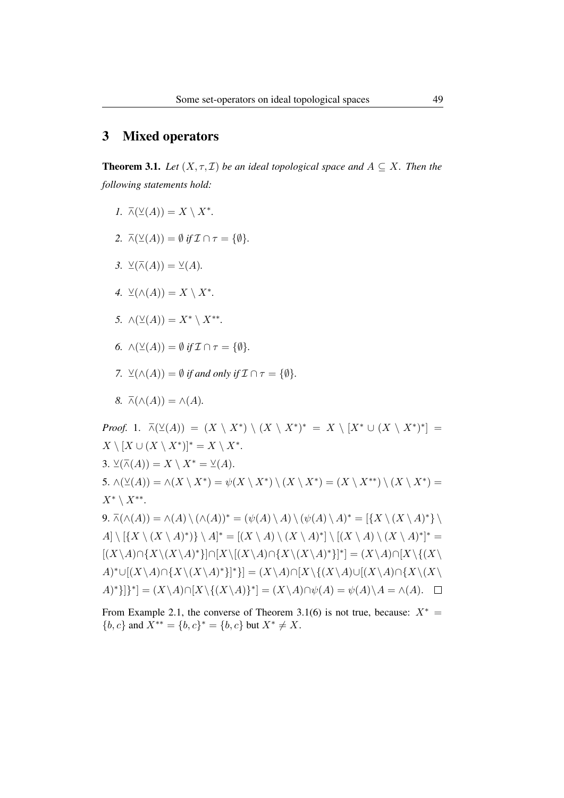### 3 Mixed operators

**Theorem 3.1.** *Let*  $(X, \tau, \mathcal{I})$  *be an ideal topological space and*  $A \subseteq X$ *. Then the following statements hold:*

- *1.*  $\overline{\wedge}(\vee (A)) = X \setminus X^*$ .
- 2.  $\overline{\wedge}(\vee (A)) = \emptyset$  *if*  $\mathcal{I} \cap \tau = \{\emptyset\}.$
- 3.  $\vee(\overline{\wedge}(A)) = \vee(A)$ .
- 4.  $\vee ( \wedge (A) ) = X \setminus X^*$ .
- *5.*  $\wedge(\vee(A)) = X^* \setminus X^{**}.$
- *6.*  $\wedge(\vee(A)) = \emptyset$  *if*  $\mathcal{I} \cap \tau = \{\emptyset\}.$
- *7.*  $\vee ( \wedge (A) ) = \emptyset$  *if and only if*  $\mathcal{I} \cap \tau = \{ \emptyset \}.$
- $8. \overline{\wedge}(\wedge(A)) = \wedge(A).$

*Proof.* 1.  $\bar{\wedge}(\vee(A)) = (X \setminus X^*) \setminus (X \setminus X^*)^* = X \setminus [X^* \cup (X \setminus X^*)^*] =$  $X \setminus [X \cup (X \setminus X^*)]^* = X \setminus X^*$ . 3.  $\vee(\overline{\wedge}(A)) = X \setminus X^* = \vee(A).$ 5.  $\wedge(\vee(A)) = \wedge(X \setminus X^*) = \psi(X \setminus X^*) \setminus (X \setminus X^*) = (X \setminus X^{**}) \setminus (X \setminus X^*) =$  $X^* \setminus X^{**}.$ 9.  $\overline{\wedge}(\wedge(A)) = \wedge(A) \setminus (\wedge(A))^* = (\psi(A) \setminus A) \setminus (\psi(A) \setminus A)^* = [\{X \setminus (X \setminus A)^*\} \setminus$  $A \setminus [{X \setminus (X \setminus A)^*}] \setminus A^* = [(X \setminus A) \setminus (X \setminus A)^*] \setminus [(X \setminus A) \setminus (X \setminus A)^*]^* =$  $[(X\setminus A)\cap {X\setminus (X\setminus A)^*}] \cap [X\setminus [(X\setminus A)\cap {X\setminus (X\setminus A)^*}]^*] = (X\setminus A) \cap [X\setminus {(X\setminus A)^*}]$  $A^* \cup [(X \setminus A) \cap {X \setminus (X \setminus A)^*}]^*$ ] =  $(X \setminus A) \cap [X \setminus {(X \setminus A)} \cup [(X \setminus A) \cap {X \setminus (X \setminus A)}]$  $(A)^*$ }] $^*$ ] =  $(X \setminus A) \cap [X \setminus \{(X \setminus A)\}^*] = (X \setminus A) \cap \psi(A) = \psi(A) \setminus A = \wedge(A).$ 

From Example 2.1, the converse of Theorem 3.1(6) is not true, because:  $X^* =$  ${b, c}$  and  $X^{**} = {b, c}^* = {b, c}$  but  $X^* \neq X$ .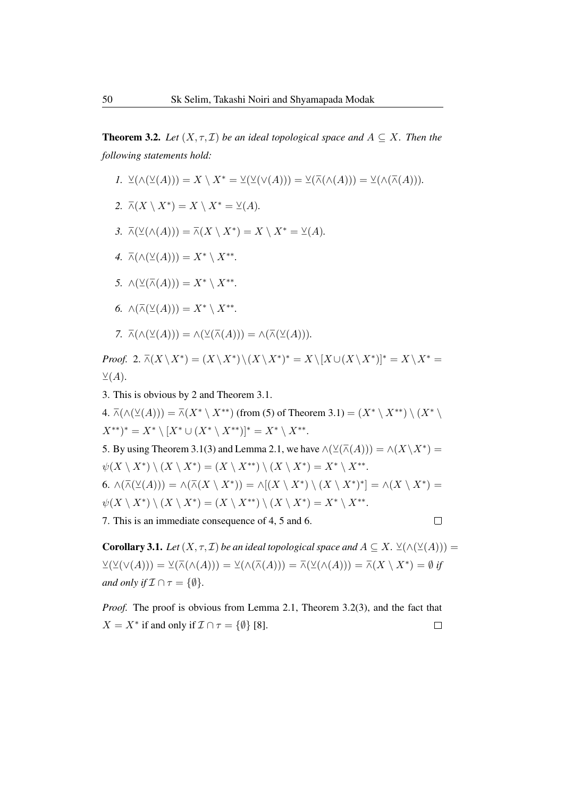**Theorem 3.2.** *Let*  $(X, \tau, \mathcal{I})$  *be an ideal topological space and*  $A \subset X$ *. Then the following statements hold:*

- *I.*  $\vee(\wedge(\vee(A))) = X \setminus X^* = \vee(\vee(A))) = \vee(\wedge(\wedge(A))) = \vee(\wedge(\wedge(A))).$
- 2.  $\overline{\wedge}(X \setminus X^*) = X \setminus X^* = \underline{\vee}(A)$ *.*
- 3.  $\overline{\wedge}(\vee(\wedge(A))) = \overline{\wedge}(X \setminus X^*) = X \setminus X^* = \vee(A)$ *.*
- $\overline{\wedge}(\wedge(\vee(A)))=X^*\setminus X^{**}.$
- *5.*  $\wedge(\vee(\overline{\wedge}(A))) = X^* \setminus X^{**}.$
- *6.*  $\wedge (\overline{\wedge}(\vee(A))) = X^* \setminus X^{**}.$
- 7.  $\overline{\wedge}(\wedge(\vee(A))) = \wedge(\vee(\overline{\wedge}(A))) = \wedge(\overline{\wedge}(\vee(A))).$

*Proof.* 2.  $\overline{\wedge}(X \setminus X^*) = (X \setminus X^*) \setminus (X \setminus X^*)^* = X \setminus [X \cup (X \setminus X^*)]^* = X \setminus X^* =$  $\vee (A)$ .

3. This is obvious by 2 and Theorem 3.1.

4.  $\overline{\wedge}(\wedge(\vee(A))) = \overline{\wedge}(X^* \setminus X^{**})$  (from (5) of Theorem 3.1) =  $(X^* \setminus X^{**}) \setminus (X^* \setminus X^{**})$  $(X^{**})^* = X^* \setminus [X^* \cup (X^* \setminus X^{**})]^* = X^* \setminus X^{**}.$ 5. By using Theorem 3.1(3) and Lemma 2.1, we have  $\land (\vee(\overline{\land}(A))) = \land(X\backslash X^*) =$  $\psi(X \setminus X^*) \setminus (X \setminus X^*) = (X \setminus X^{**}) \setminus (X \setminus X^*) = X^* \setminus X^{**}.$ 6.  $\wedge(\overline{\wedge}(\vee(A))) = \wedge(\overline{\wedge}(X \setminus X^*)) = \wedge[(X \setminus X^*) \setminus (X \setminus X^*)^*] = \wedge(X \setminus X^*) =$  $\psi(X \setminus X^*) \setminus (X \setminus X^*) = (X \setminus X^{**}) \setminus (X \setminus X^*) = X^* \setminus X^{**}.$ 7. This is an immediate consequence of 4, 5 and 6.  $\Box$ 

**Corollary 3.1.** *Let*  $(X, \tau, \mathcal{I})$  *be an ideal topological space and*  $A \subseteq X$ .  $\vee(\wedge(\vee(A)))$  =  $\vee(\vee(\vee(A))) = \vee(\overline{\wedge}(\wedge(A))) = \vee(\wedge(\overline{\wedge}(A))) = \overline{\wedge}(\vee(\wedge(A))) = \overline{\wedge}(X \setminus X^*) = \emptyset$  *if and only if*  $\mathcal{I} \cap \tau = \{\emptyset\}$ *.* 

*Proof.* The proof is obvious from Lemma 2.1, Theorem 3.2(3), and the fact that  $X = X^*$  if and only if  $\mathcal{I} \cap \tau = \{ \emptyset \}$  [8].  $\Box$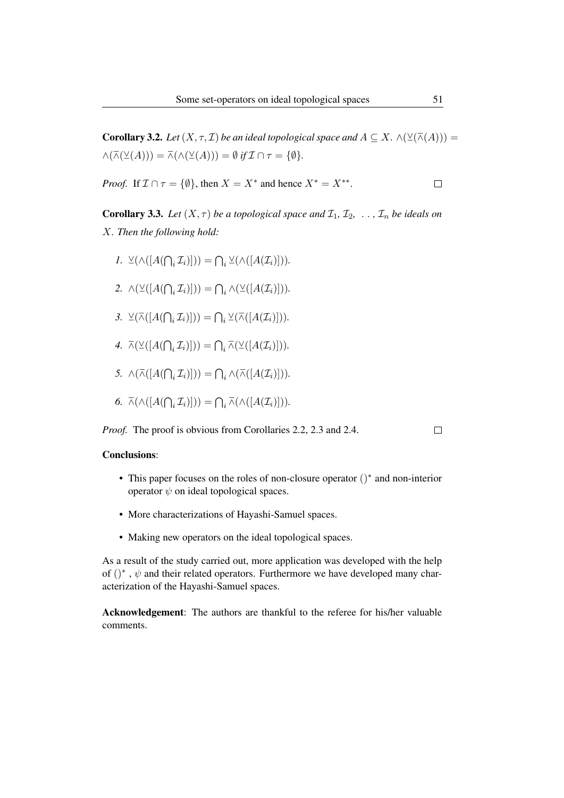**Corollary 3.2.** *Let*  $(X, \tau, \mathcal{I})$  *be an ideal topological space and*  $A \subseteq X$ .  $\wedge$  $(\vee(\overline{\wedge}(A)))$  =  $\wedge(\overline{\wedge}(\vee(A))) = \overline{\wedge}(\wedge(\vee(A))) = \emptyset$  *if*  $\mathcal{I} \cap \tau = \{\emptyset\}.$ 

*Proof.* If  $\mathcal{I} \cap \tau = \{\emptyset\}$ , then  $X = X^*$  and hence  $X^* = X^{**}$ .  $\Box$ 

**Corollary 3.3.** Let  $(X, \tau)$  be a topological space and  $\mathcal{I}_1, \mathcal{I}_2, \ldots, \mathcal{I}_n$  be ideals on X*. Then the following hold:*

- *I*.  $\vee \left( \wedge \left( [A(\bigcap_i \mathcal{I}_i)] \right) \right) = \bigcap_i \vee \left( \wedge \left( [A(\mathcal{I}_i)] \right) \right)$ .
- 2.  $\wedge (\vee ( [A(\bigcap_i \mathcal{I}_i)])) = \bigcap_i \wedge (\vee ( [A(\mathcal{I}_i)])).$
- 3.  $\vee(\overline{\wedge}([A(\bigcap_i \mathcal{I}_i)]))) = \bigcap_i \vee(\overline{\wedge}([A(\mathcal{I}_i)])).$
- *4.*  $\overline{\wedge}(\vee((A(\bigcap_i \mathcal{I}_i)))) = \bigcap_i \overline{\wedge}(\vee((A(\mathcal{I}_i)))).$
- *5.*  $\wedge (\overline{\wedge} ([A(\bigcap_i \mathcal{I}_i)]))) = \bigcap_i \wedge (\overline{\wedge} ([A(\mathcal{I}_i)])).$
- 6.  $\overline{\wedge}(\wedge([A(\bigcap_i \mathcal{I}_i)])) = \bigcap_i \overline{\wedge}(\wedge([A(\mathcal{I}_i)])).$

*Proof.* The proof is obvious from Corollaries 2.2, 2.3 and 2.4.

 $\Box$ 

#### Conclusions:

- This paper focuses on the roles of non-closure operator ()<sup>∗</sup> and non-interior operator  $\psi$  on ideal topological spaces.
- More characterizations of Hayashi-Samuel spaces.
- Making new operators on the ideal topological spaces.

As a result of the study carried out, more application was developed with the help of  $()^*$ ,  $\psi$  and their related operators. Furthermore we have developed many characterization of the Hayashi-Samuel spaces.

Acknowledgement: The authors are thankful to the referee for his/her valuable comments.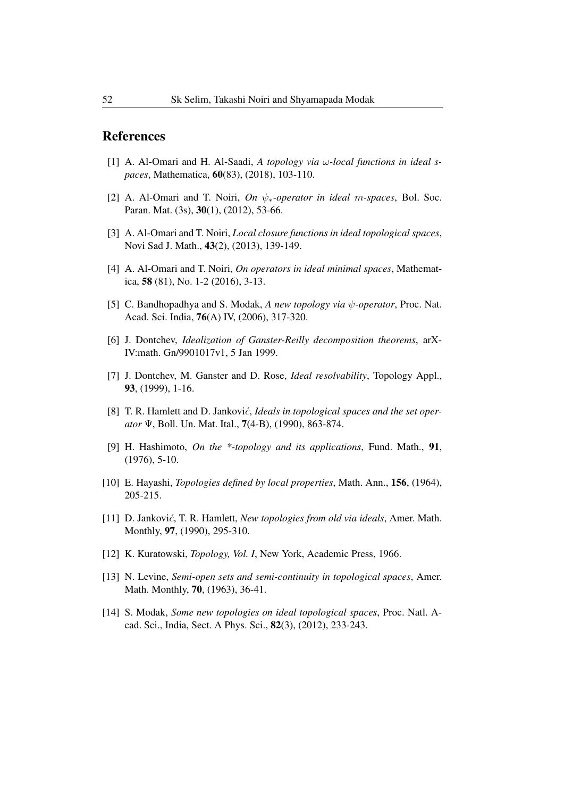### References

- [1] A. Al-Omari and H. Al-Saadi, *A topology via* ω*-local functions in ideal spaces*, Mathematica, 60(83), (2018), 103-110.
- [2] A. Al-Omari and T. Noiri, *On* ψ∗*-operator in ideal* m*-spaces*, Bol. Soc. Paran. Mat. (3s), 30(1), (2012), 53-66.
- [3] A. Al-Omari and T. Noiri, *Local closure functions in ideal topological spaces*, Novi Sad J. Math., 43(2), (2013), 139-149.
- [4] A. Al-Omari and T. Noiri, *On operators in ideal minimal spaces*, Mathematica, 58 (81), No. 1-2 (2016), 3-13.
- [5] C. Bandhopadhya and S. Modak, *A new topology via* ψ*-operator*, Proc. Nat. Acad. Sci. India, 76(A) IV, (2006), 317-320.
- [6] J. Dontchev, *Idealization of Ganster-Reilly decomposition theorems*, arX-IV:math. Gn/9901017v1, 5 Jan 1999.
- [7] J. Dontchev, M. Ganster and D. Rose, *Ideal resolvability*, Topology Appl., 93, (1999), 1-16.
- [8] T. R. Hamlett and D. Jankovi*ć*, *Ideals in topological spaces and the set operator* Ψ, Boll. Un. Mat. Ital., 7(4-B), (1990), 863-874.
- [9] H. Hashimoto, *On the \*-topology and its applications*, Fund. Math., 91, (1976), 5-10.
- [10] E. Hayashi, *Topologies defined by local properties*, Math. Ann., 156, (1964), 205-215.
- [11] D. Jankovic´, T. R. Hamlett, *New topologies from old via ideals*, Amer. Math. Monthly, 97, (1990), 295-310.
- [12] K. Kuratowski, *Topology, Vol. I*, New York, Academic Press, 1966.
- [13] N. Levine, *Semi-open sets and semi-continuity in topological spaces*, Amer. Math. Monthly, 70, (1963), 36-41.
- [14] S. Modak, *Some new topologies on ideal topological spaces*, Proc. Natl. Acad. Sci., India, Sect. A Phys. Sci., 82(3), (2012), 233-243.